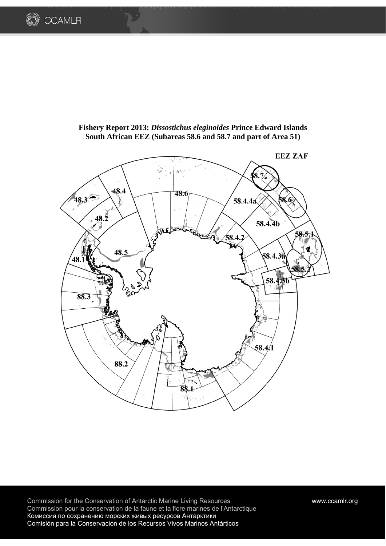





Commission for the Conservation of Antarctic Marine Living Resources www.ccamlr.org Commission pour la conservation de la faune et la flore marines de l'Antarctique Комиссия по сохранению морских живых ресурсов Антарктики Comisión para la Conservación de los Recursos Vivos Marinos Antárticos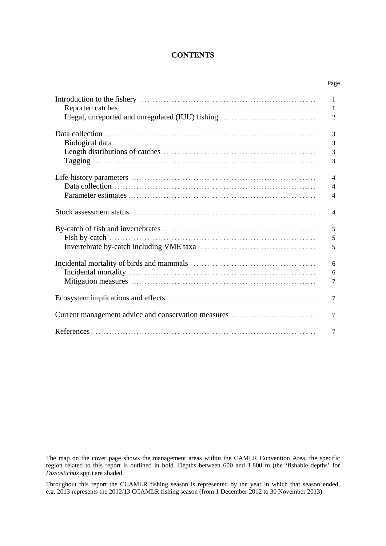# **CONTENTS**

Page

|                                                     | $\mathbf{1}$   |
|-----------------------------------------------------|----------------|
|                                                     | 1              |
|                                                     | $\overline{2}$ |
|                                                     |                |
|                                                     | 3              |
|                                                     | 3              |
|                                                     |                |
|                                                     | $\mathfrak{Z}$ |
|                                                     | 3              |
|                                                     |                |
|                                                     | $\overline{4}$ |
|                                                     | $\overline{4}$ |
|                                                     | $\overline{4}$ |
|                                                     | $\overline{4}$ |
|                                                     |                |
|                                                     | 5              |
|                                                     | 5              |
|                                                     | 5              |
|                                                     | 6              |
|                                                     | 6              |
|                                                     | 7              |
|                                                     |                |
|                                                     | $\tau$         |
|                                                     |                |
| Current management advice and conservation measures | 7              |
|                                                     |                |
|                                                     | $\tau$         |

The map on the cover page shows the management areas within the CAMLR Convention Area, the specific region related to this report is outlined in bold. Depths between 600 and 1 800 m (the 'fishable depths' for *Dissostichus* spp.) are shaded.

Throughout this report the CCAMLR fishing season is represented by the year in which that season ended, e.g. 2013 represents the 2012/13 CCAMLR fishing season (from 1 December 2012 to 30 November 2013).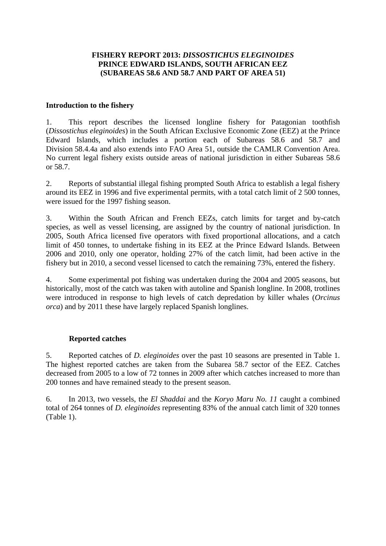# **FISHERY REPORT 2013:** *DISSOSTICHUS ELEGINOIDES* **PRINCE EDWARD ISLANDS, SOUTH AFRICAN EEZ (SUBAREAS 58.6 AND 58.7 AND PART OF AREA 51)**

# **Introduction to the fishery**

1. This report describes the licensed longline fishery for Patagonian toothfish (*Dissostichus eleginoides*) in the South African Exclusive Economic Zone (EEZ) at the Prince Edward Islands, which includes a portion each of Subareas 58.6 and 58.7 and Division 58.4.4a and also extends into FAO Area 51, outside the CAMLR Convention Area. No current legal fishery exists outside areas of national jurisdiction in either Subareas 58.6 or 58.7.

2. Reports of substantial illegal fishing prompted South Africa to establish a legal fishery around its EEZ in 1996 and five experimental permits, with a total catch limit of 2 500 tonnes, were issued for the 1997 fishing season.

3. Within the South African and French EEZs, catch limits for target and by-catch species, as well as vessel licensing, are assigned by the country of national jurisdiction. In 2005, South Africa licensed five operators with fixed proportional allocations, and a catch limit of 450 tonnes, to undertake fishing in its EEZ at the Prince Edward Islands. Between 2006 and 2010, only one operator, holding 27% of the catch limit, had been active in the fishery but in 2010, a second vessel licensed to catch the remaining 73%, entered the fishery.

4. Some experimental pot fishing was undertaken during the 2004 and 2005 seasons, but historically, most of the catch was taken with autoline and Spanish longline. In 2008, trotlines were introduced in response to high levels of catch depredation by killer whales (*Orcinus orca*) and by 2011 these have largely replaced Spanish longlines.

# **Reported catches**

5. Reported catches of *D. eleginoides* over the past 10 seasons are presented in Table 1. The highest reported catches are taken from the Subarea 58.7 sector of the EEZ. Catches decreased from 2005 to a low of 72 tonnes in 2009 after which catches increased to more than 200 tonnes and have remained steady to the present season.

6. In 2013, two vessels, the *El Shaddai* and the *Koryo Maru No. 11* caught a combined total of 264 tonnes of *D. eleginoides* representing 83% of the annual catch limit of 320 tonnes (Table 1).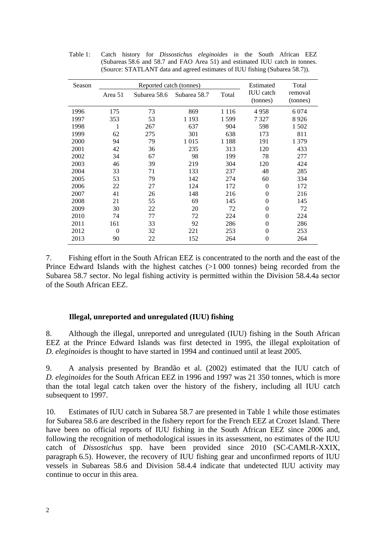| Season |         | Reported catch (tonnes) |              | Estimated | Total                        |                     |
|--------|---------|-------------------------|--------------|-----------|------------------------------|---------------------|
|        | Area 51 | Subarea 58.6            | Subarea 58.7 | Total     | <b>IUU</b> catch<br>(tonnes) | removal<br>(tonnes) |
| 1996   | 175     | 73                      | 869          | 1 1 1 6   | 4958                         | 6 0 7 4             |
| 1997   | 353     | 53                      | 1 1 9 3      | 1599      | 7 327                        | 8926                |
| 1998   | 1       | 267                     | 637          | 904       | 598                          | 1 502               |
| 1999   | 62      | 275                     | 301          | 638       | 173                          | 811                 |
| 2000   | 94      | 79                      | 1 0 1 5      | 1 1 8 8   | 191                          | 1 379               |
| 2001   | 42      | 36                      | 235          | 313       | 120                          | 433                 |
| 2002   | 34      | 67                      | 98           | 199       | 78                           | 277                 |
| 2003   | 46      | 39                      | 219          | 304       | 120                          | 424                 |
| 2004   | 33      | 71                      | 133          | 237       | 48                           | 285                 |
| 2005   | 53      | 79                      | 142          | 274       | 60                           | 334                 |
| 2006   | 22      | 27                      | 124          | 172       | $\theta$                     | 172                 |
| 2007   | 41      | 26                      | 148          | 216       | $\theta$                     | 216                 |
| 2008   | 21      | 55                      | 69           | 145       | $\overline{0}$               | 145                 |
| 2009   | 30      | 22                      | 20           | 72        | $\theta$                     | 72                  |
| 2010   | 74      | 77                      | 72           | 224       | $\theta$                     | 224                 |
| 2011   | 161     | 33                      | 92           | 286       | $\theta$                     | 286                 |
| 2012   | 0       | 32                      | 221          | 253       | 0                            | 253                 |
| 2013   | 90      | 22                      | 152          | 264       | $\theta$                     | 264                 |
|        |         |                         |              |           |                              |                     |

Table 1: Catch history for *Dissostichus eleginoides* in the South African EEZ (Subareas 58.6 and 58.7 and FAO Area 51) and estimated IUU catch in tonnes. (Source: STATLANT data and agreed estimates of IUU fishing (Subarea 58.7)).

7. Fishing effort in the South African EEZ is concentrated to the north and the east of the Prince Edward Islands with the highest catches (>1 000 tonnes) being recorded from the Subarea 58.7 sector. No legal fishing activity is permitted within the Division 58.4.4a sector of the South African EEZ.

# **Illegal, unreported and unregulated (IUU) fishing**

8. Although the illegal, unreported and unregulated (IUU) fishing in the South African EEZ at the Prince Edward Islands was first detected in 1995, the illegal exploitation of *D. eleginoides* is thought to have started in 1994 and continued until at least 2005.

9. A analysis presented by Brandão et al. (2002) estimated that the IUU catch of *D. eleginoides* for the South African EEZ in 1996 and 1997 was 21 350 tonnes, which is more than the total legal catch taken over the history of the fishery, including all IUU catch subsequent to 1997.

10. Estimates of IUU catch in Subarea 58.7 are presented in Table 1 while those estimates for Subarea 58.6 are described in the fishery report for the French EEZ at Crozet Island. There have been no official reports of IUU fishing in the South African EEZ since 2006 and, following the recognition of methodological issues in its assessment, no estimates of the IUU catch of *Dissostichus* spp. have been provided since 2010 (SC-CAMLR-XXIX, paragraph 6.5). However, the recovery of IUU fishing gear and unconfirmed reports of IUU vessels in Subareas 58.6 and Division 58.4.4 indicate that undetected IUU activity may continue to occur in this area.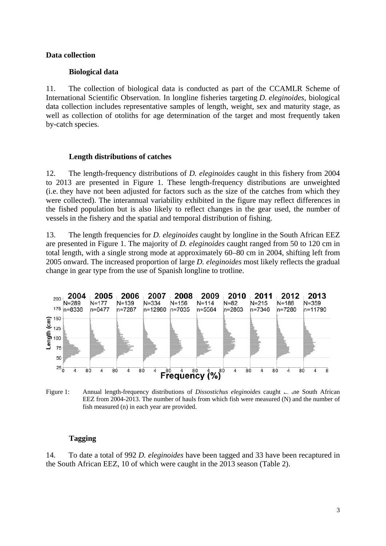# **Data collection**

## **Biological data**

11. The collection of biological data is conducted as part of the CCAMLR Scheme of International Scientific Observation. In longline fisheries targeting *D. eleginoides,* biological data collection includes representative samples of length, weight, sex and maturity stage, as well as collection of otoliths for age determination of the target and most frequently taken by-catch species.

### **Length distributions of catches**

12. The length-frequency distributions of *D. eleginoides* caught in this fishery from 2004 to 2013 are presented in Figure 1. These length-frequency distributions are unweighted (i.e. they have not been adjusted for factors such as the size of the catches from which they were collected). The interannual variability exhibited in the figure may reflect differences in the fished population but is also likely to reflect changes in the gear used, the number of vessels in the fishery and the spatial and temporal distribution of fishing.

13. The length frequencies for *D. eleginoides* caught by longline in the South African EEZ are presented in Figure 1. The majority of *D. eleginoides* caught ranged from 50 to 120 cm in total length, with a single strong mode at approximately 60–80 cm in 2004, shifting left from 2005 onward. The increased proportion of large *D. eleginoides* most likely reflects the gradual change in gear type from the use of Spanish longline to trotline.



Figure 1: Annual length-frequency distributions of *Dissostichus eleginoides* caught <sub>in</sub> the South African EEZ from 2004-2013. The number of hauls from which fish were measured (N) and the number of fish measured (n) in each year are provided.

# **Tagging**

14. To date a total of 992 *D. eleginoides* have been tagged and 33 have been recaptured in the South African EEZ, 10 of which were caught in the 2013 season (Table 2).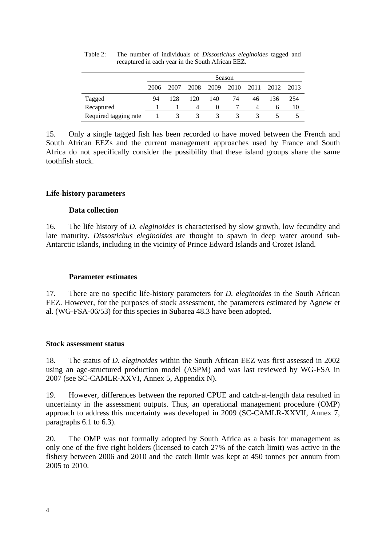|                       | Season |      |                |          |         |      |      |      |
|-----------------------|--------|------|----------------|----------|---------|------|------|------|
|                       | 2006   | 2007 | 2008           | 2009     | 2010    | 2011 | 2012 | 2013 |
| Tagged                | 94     | 128  | 120            | 140      | 74      | 46   | 136  | 254  |
| Recaptured            |        |      | $\overline{4}$ | $\theta$ |         | 4    | b    | 10   |
| Required tagging rate |        | 3    | 3              | 3        | $\prec$ |      |      |      |

Table 2: The number of individuals of *Dissostichus eleginoides* tagged and recaptured in each year in the South African EEZ.

15. Only a single tagged fish has been recorded to have moved between the French and South African EEZs and the current management approaches used by France and South Africa do not specifically consider the possibility that these island groups share the same toothfish stock.

# **Life-history parameters**

# **Data collection**

16. The life history of *D. eleginoides* is characterised by slow growth, low fecundity and late maturity. *Dissostichus eleginoides* are thought to spawn in deep water around sub-Antarctic islands, including in the vicinity of Prince Edward Islands and Crozet Island.

# **Parameter estimates**

17. There are no specific life-history parameters for *D. eleginoides* in the South African EEZ. However, for the purposes of stock assessment, the parameters estimated by Agnew et al. (WG-FSA-06/53) for this species in Subarea 48.3 have been adopted.

#### **Stock assessment status**

18. The status of *D. eleginoides* within the South African EEZ was first assessed in 2002 using an age-structured production model (ASPM) and was last reviewed by WG-FSA in 2007 (see SC-CAMLR-XXVI, Annex 5, Appendix N).

19. However, differences between the reported CPUE and catch-at-length data resulted in uncertainty in the assessment outputs. Thus, an operational management procedure (OMP) approach to address this uncertainty was developed in 2009 (SC-CAMLR-XXVII, Annex 7, paragraphs 6.1 to 6.3).

20. The OMP was not formally adopted by South Africa as a basis for management as only one of the five right holders (licensed to catch 27% of the catch limit) was active in the fishery between 2006 and 2010 and the catch limit was kept at 450 tonnes per annum from 2005 to 2010.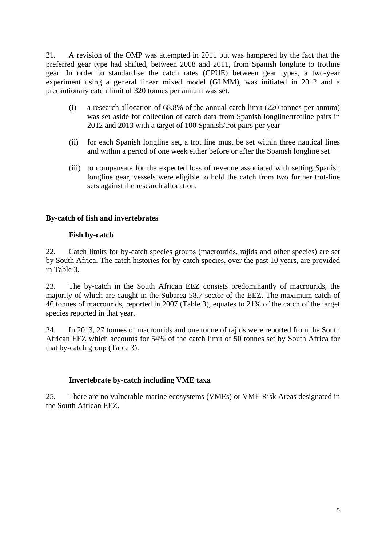21. A revision of the OMP was attempted in 2011 but was hampered by the fact that the preferred gear type had shifted, between 2008 and 2011, from Spanish longline to trotline gear. In order to standardise the catch rates (CPUE) between gear types, a two-year experiment using a general linear mixed model (GLMM), was initiated in 2012 and a precautionary catch limit of 320 tonnes per annum was set.

- (i) a research allocation of 68.8% of the annual catch limit (220 tonnes per annum) was set aside for collection of catch data from Spanish longline/trotline pairs in 2012 and 2013 with a target of 100 Spanish/trot pairs per year
- (ii) for each Spanish longline set, a trot line must be set within three nautical lines and within a period of one week either before or after the Spanish longline set
- (iii) to compensate for the expected loss of revenue associated with setting Spanish longline gear, vessels were eligible to hold the catch from two further trot-line sets against the research allocation.

# **By-catch of fish and invertebrates**

# **Fish by-catch**

22. Catch limits for by-catch species groups (macrourids, rajids and other species) are set by South Africa. The catch histories for by-catch species, over the past 10 years, are provided in Table 3.

23. The by-catch in the South African EEZ consists predominantly of macrourids, the majority of which are caught in the Subarea 58.7 sector of the EEZ. The maximum catch of 46 tonnes of macrourids, reported in 2007 (Table 3), equates to 21% of the catch of the target species reported in that year.

24. In 2013, 27 tonnes of macrourids and one tonne of rajids were reported from the South African EEZ which accounts for 54% of the catch limit of 50 tonnes set by South Africa for that by-catch group (Table 3).

# **Invertebrate by-catch including VME taxa**

25. There are no vulnerable marine ecosystems (VMEs) or VME Risk Areas designated in the South African EEZ.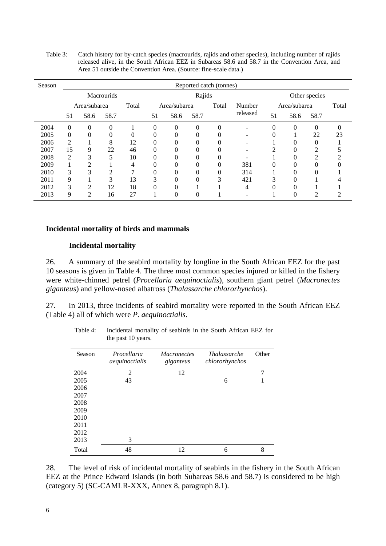| Season | Reported catch (tonnes) |                |                   |       |              |          |          |          |               |              |          |          |    |
|--------|-------------------------|----------------|-------------------|-------|--------------|----------|----------|----------|---------------|--------------|----------|----------|----|
|        |                         |                | <b>Macrourids</b> |       | Rajids       |          |          |          | Other species |              |          |          |    |
|        |                         | Area/subarea   |                   | Total | Area/subarea |          | Total    |          | Number        | Area/subarea |          | Total    |    |
|        | 51                      | 58.6           | 58.7              |       | 51           | 58.6     | 58.7     |          | released      | 51           | 58.6     | 58.7     |    |
| 2004   | 0                       | $\Omega$       | 0                 |       | $\theta$     | $\Omega$ | $\theta$ | $\Omega$ | ۰             | $\Omega$     | $\theta$ | $\theta$ |    |
| 2005   | $\theta$                | $\Omega$       |                   | 0     | $\Omega$     |          | $\Omega$ |          |               | $\theta$     |          | 22       | 23 |
| 2006   | 2                       |                | 8                 | 12    | 0            |          | 0        |          |               |              |          |          |    |
| 2007   | 15                      | 9              | 22                | 46    | $\Omega$     |          | $\Omega$ | 0        |               | ∍            | 0        | ◠        |    |
| 2008   | $\overline{2}$          | 3              | 5                 | 10    | $\Omega$     |          | $\Omega$ |          |               |              |          | ി        |    |
| 2009   |                         | 2              |                   | 4     | 0            |          | $\Omega$ |          | 381           | 0            |          |          |    |
| 2010   | 3                       | 3              |                   | ┑     | 0            |          | $\theta$ | 0        | 314           |              |          |          |    |
| 2011   | 9                       |                | 3                 | 13    | ⌒            |          |          | 3        | 421           | 3            |          |          |    |
| 2012   | 3                       | $\overline{c}$ | 12                | 18    | 0            |          |          |          | 4             | O            |          |          |    |
| 2013   | 9                       | $\mathfrak{D}$ | 16                | 27    |              |          |          |          |               |              |          |          |    |

Table 3: Catch history for by-catch species (macrourids, rajids and other species), including number of rajids released alive, in the South African EEZ in Subareas 58.6 and 58.7 in the Convention Area, and Area 51 outside the Convention Area. (Source: fine-scale data.)

#### **Incidental mortality of birds and mammals**

#### **Incidental mortality**

26. A summary of the seabird mortality by longline in the South African EEZ for the past 10 seasons is given in Table 4. The three most common species injured or killed in the fishery were white-chinned petrel (*Procellaria aequinoctialis*), southern giant petrel (*Macronectes giganteus*) and yellow-nosed albatross (*Thalassarche chlororhynchos*).

27. In 2013, three incidents of seabird mortality were reported in the South African EEZ (Table 4) all of which were *P. aequinoctialis*.

| Season | Procellaria<br>aequinoctialis | <b>Macronectes</b><br>giganteus | <i>Thalassarche</i><br>chlororhynchos | Other |
|--------|-------------------------------|---------------------------------|---------------------------------------|-------|
| 2004   | $\mathfrak{D}$                | 12                              |                                       | 7     |
| 2005   | 43                            |                                 | 6                                     |       |
| 2006   |                               |                                 |                                       |       |
| 2007   |                               |                                 |                                       |       |
| 2008   |                               |                                 |                                       |       |
| 2009   |                               |                                 |                                       |       |
| 2010   |                               |                                 |                                       |       |
| 2011   |                               |                                 |                                       |       |
| 2012   |                               |                                 |                                       |       |
| 2013   | 3                             |                                 |                                       |       |
| Total  | 48                            | 12                              | 6                                     | 8     |

Table 4: Incidental mortality of seabirds in the South African EEZ for the past 10 years.

28. The level of risk of incidental mortality of seabirds in the fishery in the South African EEZ at the Prince Edward Islands (in both Subareas 58.6 and 58.7) is considered to be high (category 5) (SC-CAMLR-XXX, Annex 8, paragraph 8.1).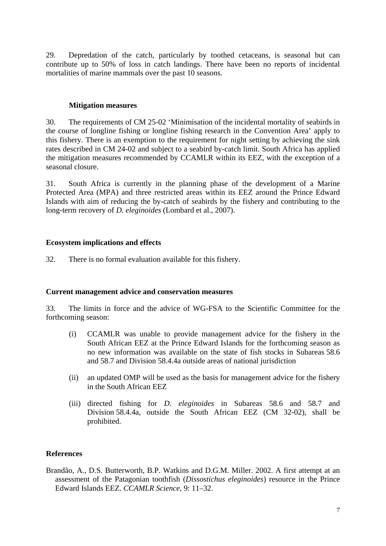29. Depredation of the catch, particularly by toothed cetaceans, is seasonal but can contribute up to 50% of loss in catch landings. There have been no reports of incidental mortalities of marine mammals over the past 10 seasons.

### **Mitigation measures**

30. The requirements of CM 25-02 'Minimisation of the incidental mortality of seabirds in the course of longline fishing or longline fishing research in the Convention Area' apply to this fishery. There is an exemption to the requirement for night setting by achieving the sink rates described in CM 24-02 and subject to a seabird by-catch limit. South Africa has applied the mitigation measures recommended by CCAMLR within its EEZ, with the exception of a seasonal closure.

31. South Africa is currently in the planning phase of the development of a Marine Protected Area (MPA) and three restricted areas within its EEZ around the Prince Edward Islands with aim of reducing the by-catch of seabirds by the fishery and contributing to the long-term recovery of *D. eleginoides* (Lombard et al., 2007).

### **Ecosystem implications and effects**

32. There is no formal evaluation available for this fishery.

# **Current management advice and conservation measures**

33. The limits in force and the advice of WG-FSA to the Scientific Committee for the forthcoming season:

- (i) CCAMLR was unable to provide management advice for the fishery in the South African EEZ at the Prince Edward Islands for the forthcoming season as no new information was available on the state of fish stocks in Subareas 58.6 and 58.7 and Division 58.4.4a outside areas of national jurisdiction
- (ii) an updated OMP will be used as the basis for management advice for the fishery in the South African EEZ
- (iii) directed fishing for *D. eleginoides* in Subareas 58.6 and 58.7 and Division 58.4.4a, outside the South African EEZ (CM 32-02), shall be prohibited.

# **References**

Brandão, A., D.S. Butterworth, B.P. Watkins and D.G.M. Miller. 2002. A first attempt at an assessment of the Patagonian toothfish (*Dissostichus eleginoides*) resource in the Prince Edward Islands EEZ. *CCAMLR Science*, 9: 11–32.